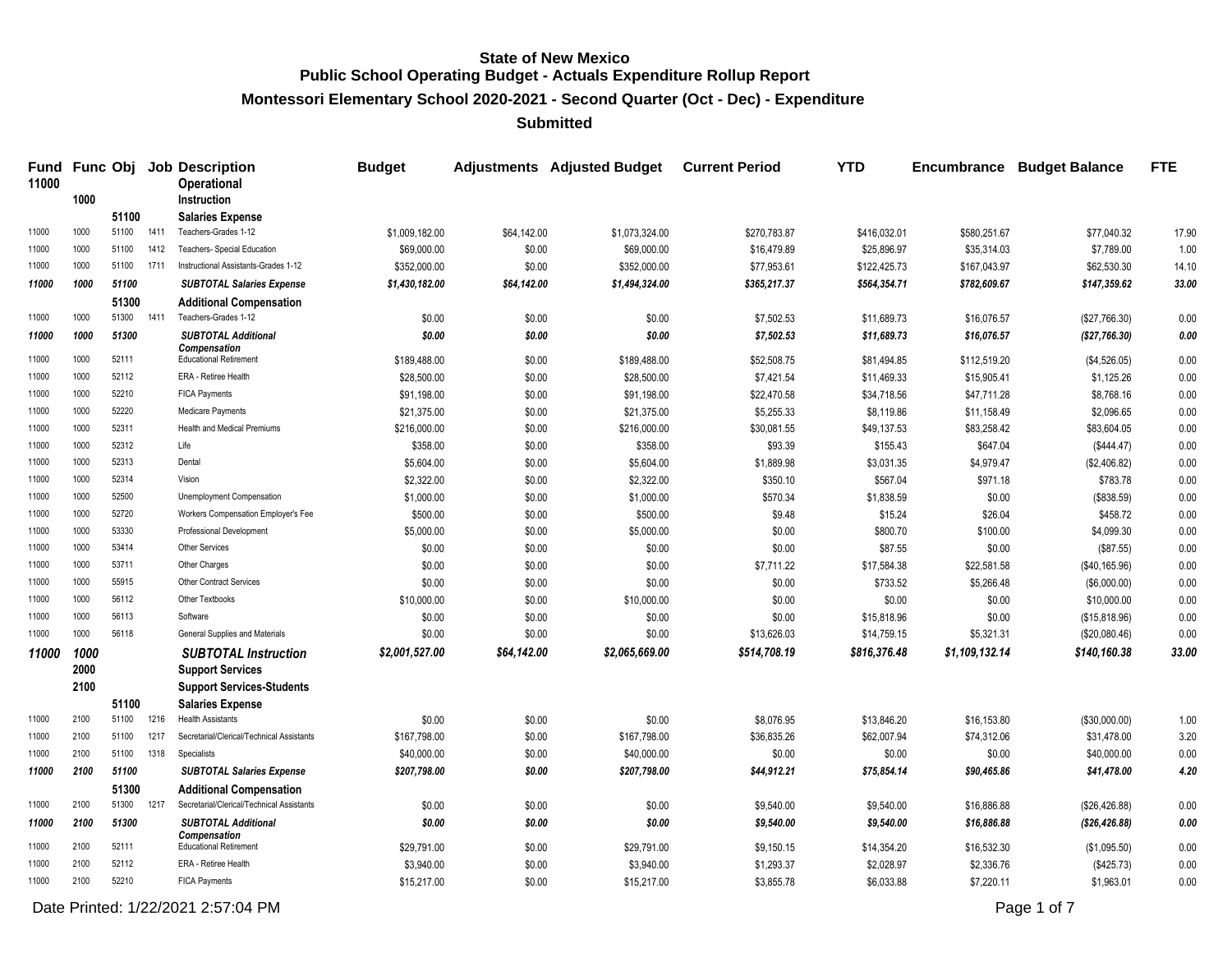**Montessori Elementary School 2020-2021 - Second Quarter (Oct - Dec) - Expenditure**

**Submitted**

| 11000 | 1000 |                     |      | Fund Func Obj Job Description<br><b>Operational</b>    | <b>Budget</b>  |             | <b>Adjustments</b> Adjusted Budget | <b>Current Period</b> | <b>YTD</b>   | Encumbrance    | <b>Budget Balance</b> | <b>FTE</b> |
|-------|------|---------------------|------|--------------------------------------------------------|----------------|-------------|------------------------------------|-----------------------|--------------|----------------|-----------------------|------------|
|       |      | 51100               |      | Instruction                                            |                |             |                                    |                       |              |                |                       |            |
| 11000 | 1000 | 51100               | 1411 | <b>Salaries Expense</b><br>Teachers-Grades 1-12        | \$1,009,182.00 | \$64,142.00 | \$1,073,324.00                     | \$270,783.87          | \$416,032.01 | \$580,251.67   | \$77,040.32           | 17.90      |
| 11000 | 1000 | 51100               | 1412 | Teachers- Special Education                            | \$69,000.00    | \$0.00      | \$69,000.00                        | \$16,479.89           | \$25,896.97  | \$35,314.03    | \$7,789.00            | 1.00       |
| 11000 | 1000 | 51100               | 1711 | Instructional Assistants-Grades 1-12                   | \$352,000.00   | \$0.00      | \$352,000.00                       | \$77,953.61           | \$122,425.73 | \$167,043.97   | \$62,530.30           | 14.10      |
| 11000 | 1000 | 51100               |      |                                                        |                |             |                                    |                       |              |                | \$147.359.62          | 33.00      |
|       |      |                     |      | <b>SUBTOTAL Salaries Expense</b>                       | \$1,430,182.00 | \$64,142.00 | \$1,494,324.00                     | \$365,217.37          | \$564,354.71 | \$782,609.67   |                       |            |
| 11000 | 1000 | 51300<br>51300 1411 |      | <b>Additional Compensation</b><br>Teachers-Grades 1-12 | \$0.00         | \$0.00      | \$0.00                             | \$7,502.53            | \$11,689.73  | \$16,076.57    | (\$27,766.30)         | 0.00       |
|       |      |                     |      |                                                        |                |             |                                    |                       |              |                |                       |            |
| 11000 | 1000 | 51300               |      | <b>SUBTOTAL Additional</b><br><b>Compensation</b>      | \$0.00         | \$0.00      | \$0.00                             | \$7,502.53            | \$11,689.73  | \$16,076.57    | (\$27,766.30)         | 0.00       |
| 11000 | 1000 | 52111               |      | <b>Educational Retirement</b>                          | \$189,488.00   | \$0.00      | \$189,488.00                       | \$52,508.75           | \$81,494.85  | \$112,519.20   | (\$4,526.05)          | 0.00       |
| 11000 | 1000 | 52112               |      | ERA - Retiree Health                                   | \$28,500.00    | \$0.00      | \$28,500.00                        | \$7,421.54            | \$11,469.33  | \$15,905.41    | \$1,125.26            | 0.00       |
| 11000 | 1000 | 52210               |      | <b>FICA Payments</b>                                   | \$91,198.00    | \$0.00      | \$91,198.00                        | \$22,470.58           | \$34,718.56  | \$47,711.28    | \$8,768.16            | 0.00       |
| 11000 | 1000 | 52220               |      | Medicare Payments                                      | \$21,375.00    | \$0.00      | \$21,375.00                        | \$5,255.33            | \$8,119.86   | \$11,158.49    | \$2,096.65            | 0.00       |
| 11000 | 1000 | 52311               |      | Health and Medical Premiums                            | \$216,000.00   | \$0.00      | \$216,000.00                       | \$30,081.55           | \$49,137.53  | \$83,258.42    | \$83,604.05           | 0.00       |
| 11000 | 1000 | 52312               |      | Life                                                   | \$358.00       | \$0.00      | \$358.00                           | \$93.39               | \$155.43     | \$647.04       | (\$444.47)            | 0.00       |
| 11000 | 1000 | 52313               |      | Dental                                                 | \$5,604.00     | \$0.00      | \$5,604.00                         | \$1,889.98            | \$3,031.35   | \$4,979.47     | (\$2,406.82)          | 0.00       |
| 11000 | 1000 | 52314               |      | Vision                                                 | \$2,322.00     | \$0.00      | \$2,322.00                         | \$350.10              | \$567.04     | \$971.18       | \$783.78              | 0.00       |
| 11000 | 1000 | 52500               |      | Unemployment Compensation                              | \$1,000.00     | \$0.00      | \$1,000.00                         | \$570.34              | \$1,838.59   | \$0.00         | (\$838.59)            | 0.00       |
| 11000 | 1000 | 52720               |      | Workers Compensation Employer's Fee                    | \$500.00       | \$0.00      | \$500.00                           | \$9.48                | \$15.24      | \$26.04        | \$458.72              | 0.00       |
| 11000 | 1000 | 53330               |      | Professional Development                               | \$5,000.00     | \$0.00      | \$5,000.00                         | \$0.00                | \$800.70     | \$100.00       | \$4,099.30            | 0.00       |
| 11000 | 1000 | 53414               |      | <b>Other Services</b>                                  | \$0.00         | \$0.00      | \$0.00                             | \$0.00                | \$87.55      | \$0.00         | (\$87.55)             | 0.00       |
| 11000 | 1000 | 53711               |      | Other Charges                                          | \$0.00         | \$0.00      | \$0.00                             | \$7,711.22            | \$17,584.38  | \$22,581.58    | (\$40, 165.96)        | 0.00       |
| 11000 | 1000 | 55915               |      | <b>Other Contract Services</b>                         | \$0.00         | \$0.00      | \$0.00                             | \$0.00                | \$733.52     | \$5,266.48     | (\$6,000.00)          | 0.00       |
| 11000 | 1000 | 56112               |      | Other Textbooks                                        | \$10,000.00    | \$0.00      | \$10,000.00                        | \$0.00                | \$0.00       | \$0.00         | \$10,000.00           | 0.00       |
| 11000 | 1000 | 56113               |      | Software                                               | \$0.00         | \$0.00      | \$0.00                             | \$0.00                | \$15,818.96  | \$0.00         | (\$15,818.96)         | 0.00       |
| 11000 | 1000 | 56118               |      | General Supplies and Materials                         | \$0.00         | \$0.00      | \$0.00                             | \$13,626.03           | \$14,759.15  | \$5,321.31     | (\$20,080.46)         | 0.00       |
| 11000 | 1000 |                     |      | <b>SUBTOTAL Instruction</b>                            | \$2,001,527.00 | \$64,142.00 | \$2,065,669.00                     | \$514,708.19          | \$816,376.48 | \$1,109,132.14 | \$140,160.38          | 33.00      |
|       | 2000 |                     |      | <b>Support Services</b>                                |                |             |                                    |                       |              |                |                       |            |
|       | 2100 |                     |      | <b>Support Services-Students</b>                       |                |             |                                    |                       |              |                |                       |            |
|       |      | 51100               |      | <b>Salaries Expense</b>                                |                |             |                                    |                       |              |                |                       |            |
| 11000 | 2100 | 51100               | 1216 | <b>Health Assistants</b>                               | \$0.00         | \$0.00      | \$0.00                             | \$8,076.95            | \$13,846.20  | \$16,153.80    | (\$30,000.00)         | 1.00       |
| 11000 | 2100 | 51100               | 1217 | Secretarial/Clerical/Technical Assistants              | \$167,798.00   | \$0.00      | \$167,798.00                       | \$36,835.26           | \$62,007.94  | \$74,312.06    | \$31,478.00           | 3.20       |
| 11000 | 2100 | 51100 1318          |      | Specialists                                            | \$40,000.00    | \$0.00      | \$40,000.00                        | \$0.00                | \$0.00       | \$0.00         | \$40,000.00           | 0.00       |
| 11000 | 2100 | 51100               |      | <b>SUBTOTAL Salaries Expense</b>                       | \$207,798.00   | \$0.00      | \$207,798.00                       | \$44,912.21           | \$75,854.14  | \$90,465.86    | \$41,478.00           | 4.20       |
|       |      | 51300               |      | <b>Additional Compensation</b>                         |                |             |                                    |                       |              |                |                       |            |
| 11000 | 2100 | 51300               | 1217 | Secretarial/Clerical/Technical Assistants              | \$0.00         | \$0.00      | \$0.00                             | \$9,540.00            | \$9,540.00   | \$16,886.88    | (\$26,426.88)         | 0.00       |
| 11000 | 2100 | 51300               |      | <b>SUBTOTAL Additional</b>                             | \$0.00         | \$0.00      | \$0.00                             | \$9,540.00            | \$9,540.00   | \$16,886.88    | (\$26,426.88)         | 0.00       |
| 11000 | 2100 | 52111               |      | <b>Compensation</b><br><b>Educational Retirement</b>   | \$29,791.00    | \$0.00      | \$29,791.00                        | \$9,150.15            | \$14,354.20  | \$16,532.30    | (\$1,095.50)          | 0.00       |
| 11000 | 2100 | 52112               |      | ERA - Retiree Health                                   | \$3,940.00     | \$0.00      | \$3,940.00                         | \$1,293.37            | \$2,028.97   | \$2,336.76     | (\$425.73)            | 0.00       |
| 11000 | 2100 | 52210               |      | <b>FICA Payments</b>                                   | \$15,217.00    | \$0.00      | \$15,217.00                        | \$3,855.78            | \$6,033.88   | \$7,220.11     | \$1,963.01            | 0.00       |
|       |      |                     |      |                                                        |                |             |                                    |                       |              |                |                       |            |

Date Printed: 1/22/2021 2:57:04 PM Page 1 of 7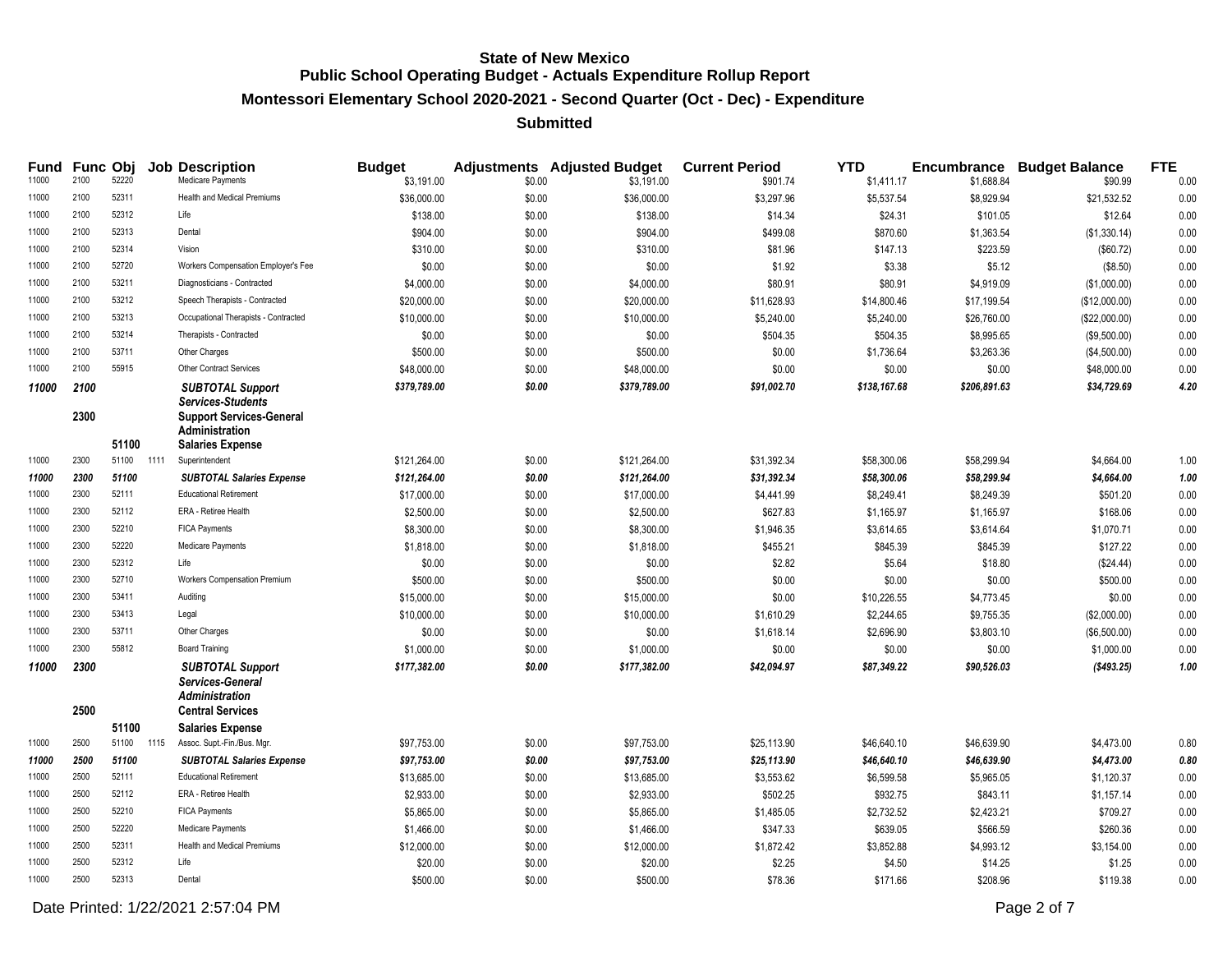# **Montessori Elementary School 2020-2021 - Second Quarter (Oct - Dec) - Expenditure**

#### **Submitted**

| Fund<br>11000 | 2100         | Func Obj<br>52220 |      | <b>Job Description</b><br>Medicare Payments                                                              | <b>Budget</b><br>\$3,191.00 | \$0.00 | <b>Adjustments</b> Adjusted Budget<br>\$3,191.00 | <b>Current Period</b><br>\$901.74 | <b>YTD</b><br>\$1,411.17 | \$1,688.84   | <b>Encumbrance Budget Balance</b><br>\$90.99 | <b>FTE</b><br>0.00 |
|---------------|--------------|-------------------|------|----------------------------------------------------------------------------------------------------------|-----------------------------|--------|--------------------------------------------------|-----------------------------------|--------------------------|--------------|----------------------------------------------|--------------------|
| 11000         | 2100         | 52311             |      | <b>Health and Medical Premiums</b>                                                                       | \$36,000.00                 | \$0.00 | \$36,000.00                                      | \$3,297.96                        | \$5,537.54               | \$8,929.94   | \$21,532.52                                  | 0.00               |
| 11000         | 2100         | 52312             |      | Life                                                                                                     | \$138.00                    | \$0.00 | \$138.00                                         | \$14.34                           | \$24.31                  | \$101.05     | \$12.64                                      | 0.00               |
| 11000         | 2100         | 52313             |      | Dental                                                                                                   | \$904.00                    | \$0.00 | \$904.00                                         | \$499.08                          | \$870.60                 | \$1,363.54   | (\$1,330.14)                                 | 0.00               |
| 11000         | 2100         | 52314             |      | Vision                                                                                                   | \$310.00                    | \$0.00 | \$310.00                                         | \$81.96                           | \$147.13                 | \$223.59     | (\$60.72)                                    | 0.00               |
| 11000         | 2100         | 52720             |      | Workers Compensation Employer's Fee                                                                      | \$0.00                      | \$0.00 | \$0.00                                           | \$1.92                            | \$3.38                   | \$5.12       | (\$8.50)                                     | 0.00               |
| 11000         | 2100         | 53211             |      | Diagnosticians - Contracted                                                                              | \$4,000.00                  | \$0.00 | \$4,000.00                                       | \$80.91                           | \$80.91                  | \$4,919.09   | (\$1,000.00)                                 | 0.00               |
| 11000         | 2100         | 53212             |      | Speech Therapists - Contracted                                                                           | \$20,000.00                 | \$0.00 | \$20,000.00                                      | \$11,628.93                       | \$14,800.46              | \$17,199.54  | (\$12,000.00)                                | 0.00               |
| 11000         | 2100         | 53213             |      | Occupational Therapists - Contracted                                                                     | \$10,000.00                 | \$0.00 | \$10,000.00                                      | \$5,240.00                        | \$5,240.00               | \$26,760.00  | (\$22,000.00)                                | 0.00               |
| 11000         | 2100         | 53214             |      | Therapists - Contracted                                                                                  | \$0.00                      | \$0.00 | \$0.00                                           | \$504.35                          | \$504.35                 | \$8,995.65   | (\$9,500.00)                                 | 0.00               |
| 11000         | 2100         | 53711             |      | Other Charges                                                                                            | \$500.00                    | \$0.00 | \$500.00                                         | \$0.00                            | \$1,736.64               | \$3,263.36   | (\$4,500.00)                                 | 0.00               |
| 11000         | 2100         | 55915             |      | <b>Other Contract Services</b>                                                                           | \$48,000.00                 | \$0.00 | \$48,000.00                                      | \$0.00                            | \$0.00                   | \$0.00       | \$48,000.00                                  | 0.00               |
| 11000         | 2100<br>2300 |                   |      | <b>SUBTOTAL Support</b><br><b>Services-Students</b><br><b>Support Services-General</b><br>Administration | \$379,789.00                | \$0.00 | \$379,789.00                                     | \$91,002.70                       | \$138,167.68             | \$206,891.63 | \$34,729.69                                  | 4.20               |
| 11000         | 2300         | 51100<br>51100    | 1111 | <b>Salaries Expense</b><br>Superintendent                                                                | \$121,264.00                | \$0.00 | \$121,264.00                                     | \$31,392.34                       | \$58,300.06              | \$58,299.94  | \$4,664.00                                   | 1.00               |
| 11000         | 2300         | 51100             |      | <b>SUBTOTAL Salaries Expense</b>                                                                         | \$121,264.00                | \$0.00 | \$121,264.00                                     | \$31,392.34                       | \$58,300.06              | \$58,299.94  | \$4,664.00                                   | 1.00               |
| 11000         | 2300         | 52111             |      | <b>Educational Retirement</b>                                                                            | \$17,000.00                 | \$0.00 | \$17,000.00                                      | \$4,441.99                        | \$8,249.41               | \$8,249.39   | \$501.20                                     | 0.00               |
| 11000         | 2300         | 52112             |      | ERA - Retiree Health                                                                                     | \$2,500.00                  | \$0.00 | \$2,500.00                                       | \$627.83                          | \$1,165.97               | \$1,165.97   | \$168.06                                     | 0.00               |
| 11000         | 2300         | 52210             |      | <b>FICA Payments</b>                                                                                     | \$8,300.00                  | \$0.00 | \$8,300.00                                       | \$1,946.35                        | \$3,614.65               | \$3,614.64   | \$1,070.71                                   | 0.00               |
| 11000         | 2300         | 52220             |      | Medicare Payments                                                                                        | \$1,818.00                  | \$0.00 | \$1,818.00                                       | \$455.21                          | \$845.39                 | \$845.39     | \$127.22                                     | 0.00               |
| 11000         | 2300         | 52312             |      | Life                                                                                                     | \$0.00                      | \$0.00 | \$0.00                                           | \$2.82                            | \$5.64                   | \$18.80      | (\$24.44)                                    | 0.00               |
| 11000         | 2300         | 52710             |      | Workers Compensation Premium                                                                             | \$500.00                    | \$0.00 | \$500.00                                         | \$0.00                            | \$0.00                   | \$0.00       | \$500.00                                     | 0.00               |
| 11000         | 2300         | 53411             |      | Auditing                                                                                                 | \$15,000.00                 | \$0.00 | \$15,000.00                                      | \$0.00                            | \$10,226.55              | \$4,773.45   | \$0.00                                       | 0.00               |
| 11000         | 2300         | 53413             |      | Legal                                                                                                    | \$10,000.00                 | \$0.00 | \$10,000.00                                      | \$1,610.29                        | \$2,244.65               | \$9,755.35   | (\$2,000.00)                                 | 0.00               |
| 11000         | 2300         | 53711             |      | Other Charges                                                                                            | \$0.00                      | \$0.00 | \$0.00                                           | \$1,618.14                        | \$2,696.90               | \$3,803.10   | (\$6,500.00)                                 | 0.00               |
| 11000         | 2300         | 55812             |      | <b>Board Training</b>                                                                                    | \$1,000.00                  | \$0.00 | \$1,000.00                                       | \$0.00                            | \$0.00                   | \$0.00       | \$1,000.00                                   | 0.00               |
| 11000         | 2300<br>2500 |                   |      | <b>SUBTOTAL Support</b><br>Services-General<br><b>Administration</b><br><b>Central Services</b>          | \$177,382.00                | \$0.00 | \$177,382.00                                     | \$42,094.97                       | \$87,349.22              | \$90,526.03  | ( \$493.25)                                  | 1.00               |
|               |              | 51100             |      | <b>Salaries Expense</b>                                                                                  |                             |        |                                                  |                                   |                          |              |                                              |                    |
| 11000         | 2500         | 51100 1115        |      | Assoc. Supt.-Fin./Bus. Mgr.                                                                              | \$97,753.00                 | \$0.00 | \$97,753.00                                      | \$25,113.90                       | \$46,640.10              | \$46,639.90  | \$4,473.00                                   | 0.80               |
| 11000         | 2500         | 51100             |      | <b>SUBTOTAL Salaries Expense</b>                                                                         | \$97,753.00                 | \$0.00 | \$97,753.00                                      | \$25,113.90                       | \$46,640.10              | \$46,639.90  | \$4,473.00                                   | 0.80               |
| 11000         | 2500         | 52111             |      | <b>Educational Retirement</b>                                                                            | \$13,685.00                 | \$0.00 | \$13,685.00                                      | \$3,553.62                        | \$6,599.58               | \$5,965.05   | \$1,120.37                                   | 0.00               |
| 11000         | 2500         | 52112             |      | ERA - Retiree Health                                                                                     | \$2,933.00                  | \$0.00 | \$2,933.00                                       | \$502.25                          | \$932.75                 | \$843.11     | \$1,157.14                                   | 0.00               |
| 11000         | 2500         | 52210             |      | <b>FICA Payments</b>                                                                                     | \$5,865.00                  | \$0.00 | \$5,865.00                                       | \$1,485.05                        | \$2,732.52               | \$2,423.21   | \$709.27                                     | 0.00               |
| 11000         | 2500         | 52220             |      | Medicare Payments                                                                                        | \$1,466.00                  | \$0.00 | \$1,466.00                                       | \$347.33                          | \$639.05                 | \$566.59     | \$260.36                                     | 0.00               |
| 11000         | 2500         | 52311             |      | <b>Health and Medical Premiums</b>                                                                       | \$12,000.00                 | \$0.00 | \$12,000.00                                      | \$1,872.42                        | \$3,852.88               | \$4,993.12   | \$3,154.00                                   | 0.00               |
| 11000         | 2500         | 52312             |      | Life                                                                                                     | \$20.00                     | \$0.00 | \$20.00                                          | \$2.25                            | \$4.50                   | \$14.25      | \$1.25                                       | 0.00               |
| 11000         | 2500         | 52313             |      | Dental                                                                                                   | \$500.00                    | \$0.00 | \$500.00                                         | \$78.36                           | \$171.66                 | \$208.96     | \$119.38                                     | 0.00               |

Date Printed: 1/22/2021 2:57:04 PM Page 2 of 7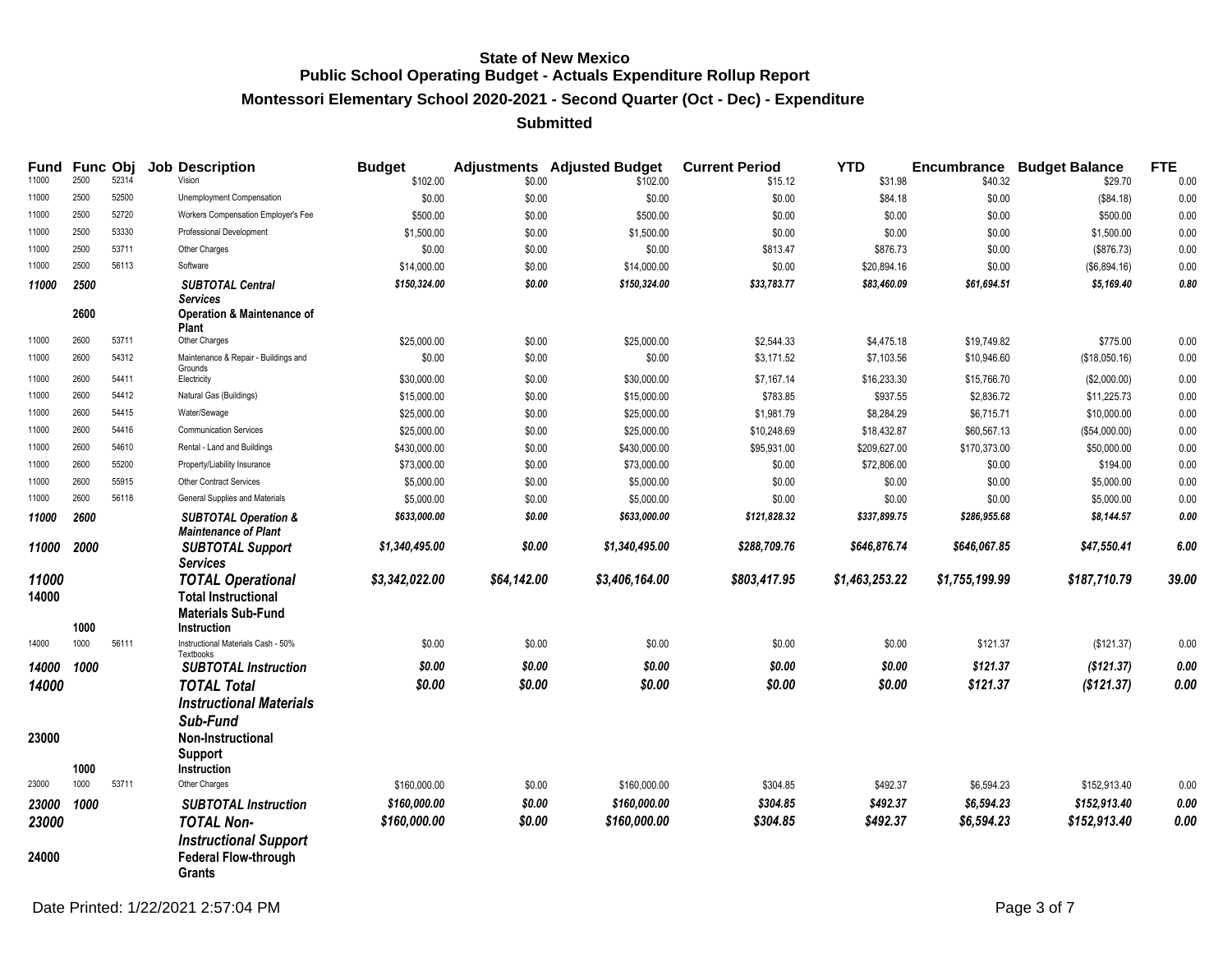# **Montessori Elementary School 2020-2021 - Second Quarter (Oct - Dec) - Expenditure**

| Fund<br>11000  | 2500 | Func Obj<br>52314 | <b>Job Description</b><br>Vision                                                                   | <b>Budget</b><br>\$102.00 | \$0.00      | <b>Adjustments</b> Adjusted Budget<br>\$102.00 | <b>Current Period</b><br>\$15.12 | <b>YTD</b><br>\$31.98 | \$40.32        | <b>Encumbrance Budget Balance</b><br>\$29.70 | <b>FTE</b><br>0.00 |
|----------------|------|-------------------|----------------------------------------------------------------------------------------------------|---------------------------|-------------|------------------------------------------------|----------------------------------|-----------------------|----------------|----------------------------------------------|--------------------|
| 11000          | 2500 | 52500             | Unemployment Compensation                                                                          | \$0.00                    | \$0.00      | \$0.00                                         | \$0.00                           | \$84.18               | \$0.00         | (\$84.18)                                    | 0.00               |
| 11000          | 2500 | 52720             | Workers Compensation Employer's Fee                                                                | \$500.00                  | \$0.00      | \$500.00                                       | \$0.00                           | \$0.00                | \$0.00         | \$500.00                                     | 0.00               |
| 11000          | 2500 | 53330             | Professional Development                                                                           | \$1,500.00                | \$0.00      | \$1,500.00                                     | \$0.00                           | \$0.00                | \$0.00         | \$1,500.00                                   | 0.00               |
| 11000          | 2500 | 53711             | Other Charges                                                                                      | \$0.00                    | \$0.00      | \$0.00                                         | \$813.47                         | \$876.73              | \$0.00         | (\$876.73)                                   | 0.00               |
| 11000          | 2500 | 56113             | Software                                                                                           | \$14,000.00               | \$0.00      | \$14,000.00                                    | \$0.00                           | \$20,894.16           | \$0.00         | (\$6,894.16)                                 | 0.00               |
| 11000          | 2500 |                   | <b>SUBTOTAL Central</b>                                                                            | \$150,324.00              | \$0.00      | \$150,324.00                                   | \$33,783.77                      | \$83,460.09           | \$61,694.51    | \$5,169.40                                   | 0.80               |
|                | 2600 |                   | <b>Services</b><br><b>Operation &amp; Maintenance of</b><br>Plant                                  |                           |             |                                                |                                  |                       |                |                                              |                    |
| 11000          | 2600 | 53711             | Other Charges                                                                                      | \$25,000.00               | \$0.00      | \$25,000.00                                    | \$2,544.33                       | \$4,475.18            | \$19,749.82    | \$775.00                                     | 0.00               |
| 11000          | 2600 | 54312             | Maintenance & Repair - Buildings and                                                               | \$0.00                    | \$0.00      | \$0.00                                         | \$3,171.52                       | \$7,103.56            | \$10,946.60    | (\$18,050.16)                                | 0.00               |
| 11000          | 2600 | 54411             | Grounds<br>Electricity                                                                             | \$30,000.00               | \$0.00      | \$30,000.00                                    | \$7,167.14                       | \$16,233.30           | \$15,766.70    | (\$2,000.00)                                 | 0.00               |
| 11000          | 2600 | 54412             | Natural Gas (Buildings)                                                                            | \$15,000.00               | \$0.00      | \$15,000.00                                    | \$783.85                         | \$937.55              | \$2,836.72     | \$11,225.73                                  | 0.00               |
| 11000          | 2600 | 54415             | Water/Sewage                                                                                       | \$25,000.00               | \$0.00      | \$25,000.00                                    | \$1,981.79                       | \$8,284.29            | \$6,715.71     | \$10,000.00                                  | 0.00               |
| 11000          | 2600 | 54416             | <b>Communication Services</b>                                                                      | \$25,000.00               | \$0.00      | \$25,000.00                                    | \$10,248.69                      | \$18,432.87           | \$60,567.13    | (\$54,000.00)                                | 0.00               |
| 11000          | 2600 | 54610             | Rental - Land and Buildings                                                                        | \$430,000.00              | \$0.00      | \$430,000.00                                   | \$95,931.00                      | \$209,627.00          | \$170,373.00   | \$50,000.00                                  | 0.00               |
| 11000          | 2600 | 55200             | Property/Liability Insurance                                                                       | \$73,000.00               | \$0.00      | \$73,000.00                                    | \$0.00                           | \$72,806.00           | \$0.00         | \$194.00                                     | 0.00               |
| 11000          | 2600 | 55915             | Other Contract Services                                                                            | \$5,000.00                | \$0.00      | \$5,000.00                                     | \$0.00                           | \$0.00                | \$0.00         | \$5,000.00                                   | 0.00               |
| 11000          | 2600 | 56118             | General Supplies and Materials                                                                     | \$5,000.00                | \$0.00      | \$5,000.00                                     | \$0.00                           | \$0.00                | \$0.00         | \$5,000.00                                   | $0.00\,$           |
| 11000          | 2600 |                   | <b>SUBTOTAL Operation &amp;</b><br><b>Maintenance of Plant</b>                                     | \$633,000.00              | \$0.00      | \$633,000.00                                   | \$121,828.32                     | \$337,899.75          | \$286,955.68   | \$8,144.57                                   | 0.00               |
| 11000          | 2000 |                   | <b>SUBTOTAL Support</b><br><b>Services</b>                                                         | \$1,340,495.00            | \$0.00      | \$1,340,495.00                                 | \$288,709.76                     | \$646,876.74          | \$646,067.85   | \$47,550.41                                  | 6.00               |
| 11000<br>14000 | 1000 |                   | <b>TOTAL Operational</b><br><b>Total Instructional</b><br><b>Materials Sub-Fund</b><br>Instruction | \$3,342,022.00            | \$64,142.00 | \$3,406,164.00                                 | \$803,417.95                     | \$1,463,253.22        | \$1,755,199.99 | \$187,710.79                                 | 39.00              |
| 14000          | 1000 | 56111             | Instructional Materials Cash - 50%                                                                 | \$0.00                    | \$0.00      | \$0.00                                         | \$0.00                           | \$0.00                | \$121.37       | (\$121.37)                                   | 0.00               |
| 14000          | 1000 |                   | Textbooks<br><b>SUBTOTAL Instruction</b>                                                           | \$0.00                    | \$0.00      | \$0.00                                         | \$0.00                           | \$0.00                | \$121.37       | (\$121.37)                                   | $\pmb{0.00}$       |
| 14000          |      |                   | <b>TOTAL Total</b>                                                                                 | \$0.00                    | \$0.00      | \$0.00                                         | \$0.00                           | \$0.00                | \$121.37       | (\$121.37)                                   | 0.00               |
| 23000          | 1000 |                   | <b>Instructional Materials</b><br>Sub-Fund<br>Non-Instructional<br><b>Support</b><br>Instruction   |                           |             |                                                |                                  |                       |                |                                              |                    |
| 23000          | 1000 | 53711             | Other Charges                                                                                      | \$160,000.00              | \$0.00      | \$160,000.00                                   | \$304.85                         | \$492.37              | \$6,594.23     | \$152,913.40                                 | 0.00               |
| 23000          | 1000 |                   | <b>SUBTOTAL Instruction</b>                                                                        | \$160,000.00              | \$0.00      | \$160,000.00                                   | \$304.85                         | \$492.37              | \$6,594.23     | \$152,913.40                                 | 0.00               |
| 23000          |      |                   | <b>TOTAL Non-</b><br><b>Instructional Support</b>                                                  | \$160,000.00              | \$0.00      | \$160,000.00                                   | \$304.85                         | \$492.37              | \$6,594.23     | \$152,913.40                                 | 0.00               |
| 24000          |      |                   | <b>Federal Flow-through</b><br>Grants                                                              |                           |             |                                                |                                  |                       |                |                                              |                    |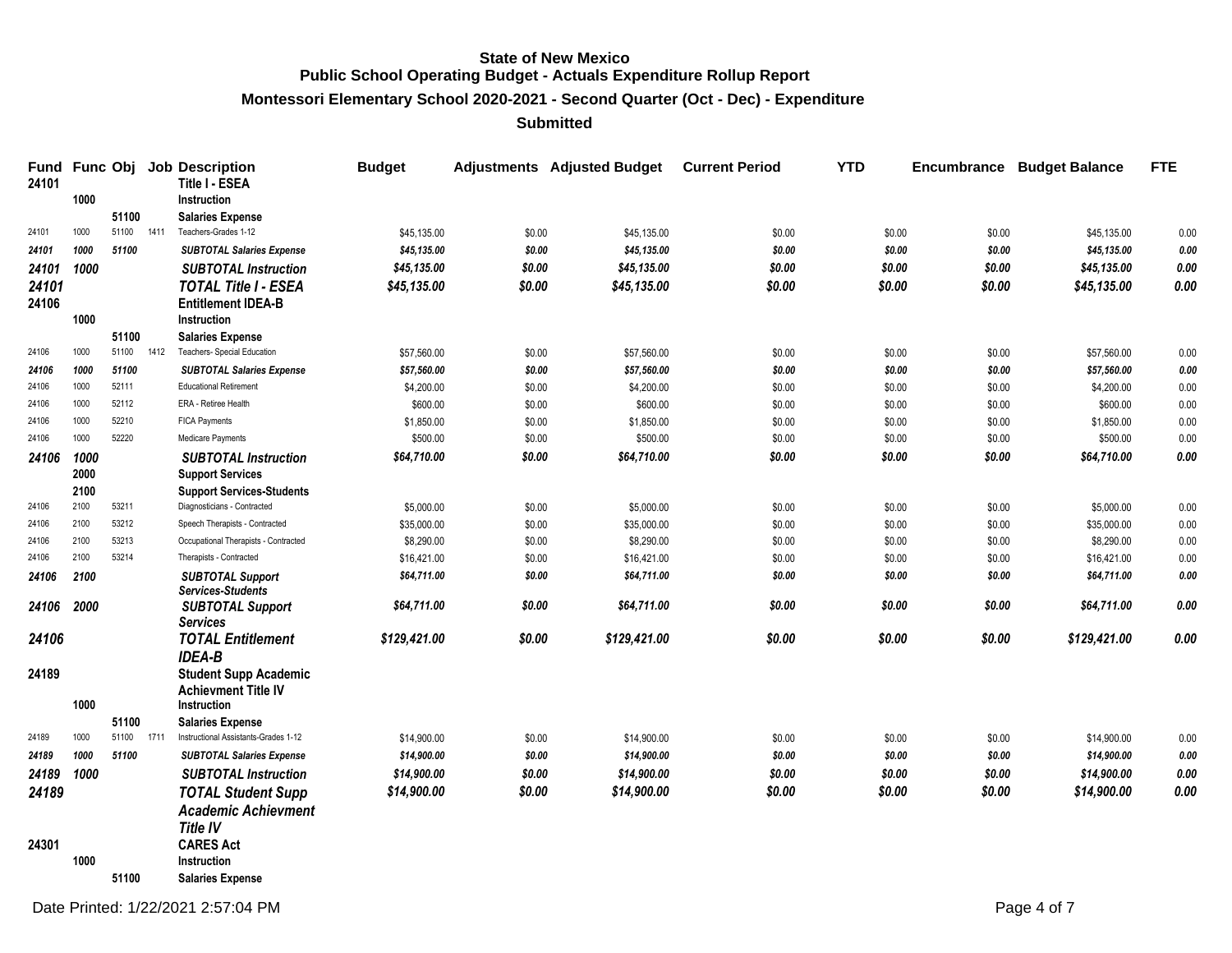**Montessori Elementary School 2020-2021 - Second Quarter (Oct - Dec) - Expenditure**

| <b>Fund</b><br>24101 |      |            |      | Func Obj Job Description<br>Title I - ESEA                 | <b>Budget</b> |        | <b>Adjustments</b> Adjusted Budget | <b>Current Period</b> | <b>YTD</b> |        | <b>Encumbrance Budget Balance</b> | <b>FTE</b>  |
|----------------------|------|------------|------|------------------------------------------------------------|---------------|--------|------------------------------------|-----------------------|------------|--------|-----------------------------------|-------------|
|                      | 1000 |            |      | Instruction                                                |               |        |                                    |                       |            |        |                                   |             |
|                      |      | 51100      |      | <b>Salaries Expense</b>                                    |               |        |                                    |                       |            |        |                                   |             |
| 24101                | 1000 | 51100 1411 |      | Teachers-Grades 1-12                                       | \$45,135.00   | \$0.00 | \$45,135.00                        | \$0.00                | \$0.00     | \$0.00 | \$45,135.00                       | 0.00        |
| 24101                | 1000 | 51100      |      | <b>SUBTOTAL Salaries Expense</b>                           | \$45,135.00   | \$0.00 | \$45,135.00                        | \$0.00                | \$0.00     | \$0.00 | \$45,135.00                       | 0.00        |
| 24101                | 1000 |            |      | <b>SUBTOTAL Instruction</b>                                | \$45,135.00   | \$0.00 | \$45,135.00                        | \$0.00                | \$0.00     | \$0.00 | \$45,135.00                       | $\it{0.00}$ |
| 24101                |      |            |      | <b>TOTAL Title I - ESEA</b>                                | \$45,135.00   | \$0.00 | \$45,135.00                        | \$0.00                | \$0.00     | \$0.00 | \$45,135.00                       | 0.00        |
| 24106                |      |            |      | <b>Entitlement IDEA-B</b>                                  |               |        |                                    |                       |            |        |                                   |             |
|                      | 1000 |            |      | Instruction                                                |               |        |                                    |                       |            |        |                                   |             |
|                      |      | 51100      |      | <b>Salaries Expense</b>                                    |               |        |                                    |                       |            |        |                                   |             |
| 24106                | 1000 | 51100      | 1412 | Teachers- Special Education                                | \$57,560.00   | \$0.00 | \$57,560.00                        | \$0.00                | \$0.00     | \$0.00 | \$57,560.00                       | 0.00        |
| 24106                | 1000 | 51100      |      | <b>SUBTOTAL Salaries Expense</b>                           | \$57,560.00   | \$0.00 | \$57,560.00                        | \$0.00                | \$0.00     | \$0.00 | \$57,560.00                       | 0.00        |
| 24106                | 1000 | 52111      |      | <b>Educational Retirement</b>                              | \$4,200.00    | \$0.00 | \$4,200.00                         | \$0.00                | \$0.00     | \$0.00 | \$4,200.00                        | 0.00        |
| 24106                | 1000 | 52112      |      | ERA - Retiree Health                                       | \$600.00      | \$0.00 | \$600.00                           | \$0.00                | \$0.00     | \$0.00 | \$600.00                          | 0.00        |
| 24106                | 1000 | 52210      |      | <b>FICA Payments</b>                                       | \$1,850.00    | \$0.00 | \$1,850.00                         | \$0.00                | \$0.00     | \$0.00 | \$1,850.00                        | 0.00        |
| 24106                | 1000 | 52220      |      | Medicare Payments                                          | \$500.00      | \$0.00 | \$500.00                           | \$0.00                | \$0.00     | \$0.00 | \$500.00                          | 0.00        |
| 24106                | 1000 |            |      | <b>SUBTOTAL Instruction</b>                                | \$64,710.00   | \$0.00 | \$64,710.00                        | \$0.00                | \$0.00     | \$0.00 | \$64,710.00                       | $0.00\,$    |
|                      | 2000 |            |      | <b>Support Services</b>                                    |               |        |                                    |                       |            |        |                                   |             |
|                      | 2100 |            |      | <b>Support Services-Students</b>                           |               |        |                                    |                       |            |        |                                   |             |
| 24106                | 2100 | 53211      |      | Diagnosticians - Contracted                                | \$5,000.00    | \$0.00 | \$5,000.00                         | \$0.00                | \$0.00     | \$0.00 | \$5,000.00                        | 0.00        |
| 24106                | 2100 | 53212      |      | Speech Therapists - Contracted                             | \$35,000.00   | \$0.00 | \$35,000.00                        | \$0.00                | \$0.00     | \$0.00 | \$35,000.00                       | 0.00        |
| 24106                | 2100 | 53213      |      | Occupational Therapists - Contracted                       | \$8,290.00    | \$0.00 | \$8,290.00                         | \$0.00                | \$0.00     | \$0.00 | \$8,290.00                        | 0.00        |
| 24106                | 2100 | 53214      |      | Therapists - Contracted                                    | \$16,421.00   | \$0.00 | \$16,421.00                        | \$0.00                | \$0.00     | \$0.00 | \$16,421.00                       | 0.00        |
| 24106                | 2100 |            |      | <b>SUBTOTAL Support</b><br><b>Services-Students</b>        | \$64,711.00   | \$0.00 | \$64,711.00                        | \$0.00                | \$0.00     | \$0.00 | \$64,711.00                       | 0.00        |
| 24106                | 2000 |            |      | <b>SUBTOTAL Support</b>                                    | \$64,711.00   | \$0.00 | \$64,711.00                        | \$0.00                | \$0.00     | \$0.00 | \$64,711.00                       | 0.00        |
|                      |      |            |      | <b>Services</b>                                            |               |        |                                    |                       |            |        |                                   |             |
| 24106                |      |            |      | <b>TOTAL Entitlement</b>                                   | \$129,421.00  | \$0.00 | \$129,421.00                       | \$0.00                | \$0.00     | \$0.00 | \$129,421.00                      | 0.00        |
|                      |      |            |      | <b>IDEA-B</b>                                              |               |        |                                    |                       |            |        |                                   |             |
| 24189                |      |            |      | <b>Student Supp Academic</b><br><b>Achievment Title IV</b> |               |        |                                    |                       |            |        |                                   |             |
|                      | 1000 |            |      | Instruction                                                |               |        |                                    |                       |            |        |                                   |             |
|                      |      | 51100      |      | <b>Salaries Expense</b>                                    |               |        |                                    |                       |            |        |                                   |             |
| 24189                | 1000 | 51100      | 1711 | Instructional Assistants-Grades 1-12                       | \$14,900.00   | \$0.00 | \$14,900.00                        | \$0.00                | \$0.00     | \$0.00 | \$14,900.00                       | $0.00\,$    |
| 24189                | 1000 | 51100      |      | <b>SUBTOTAL Salaries Expense</b>                           | \$14,900.00   | \$0.00 | \$14,900.00                        | \$0.00                | \$0.00     | \$0.00 | \$14,900.00                       | 0.00        |
| 24189                | 1000 |            |      | <b>SUBTOTAL Instruction</b>                                | \$14,900.00   | \$0.00 | \$14,900.00                        | \$0.00                | \$0.00     | \$0.00 | \$14,900.00                       | $0.00\,$    |
| 24189                |      |            |      | <b>TOTAL Student Supp</b>                                  | \$14,900.00   | \$0.00 | \$14,900.00                        | \$0.00                | \$0.00     | \$0.00 | \$14,900.00                       | 0.00        |
|                      |      |            |      | <b>Academic Achievment</b>                                 |               |        |                                    |                       |            |        |                                   |             |
|                      |      |            |      | <b>Title IV</b>                                            |               |        |                                    |                       |            |        |                                   |             |
| 24301                |      |            |      | <b>CARES Act</b>                                           |               |        |                                    |                       |            |        |                                   |             |
|                      | 1000 |            |      | Instruction                                                |               |        |                                    |                       |            |        |                                   |             |
|                      |      | 51100      |      | <b>Salaries Expense</b>                                    |               |        |                                    |                       |            |        |                                   |             |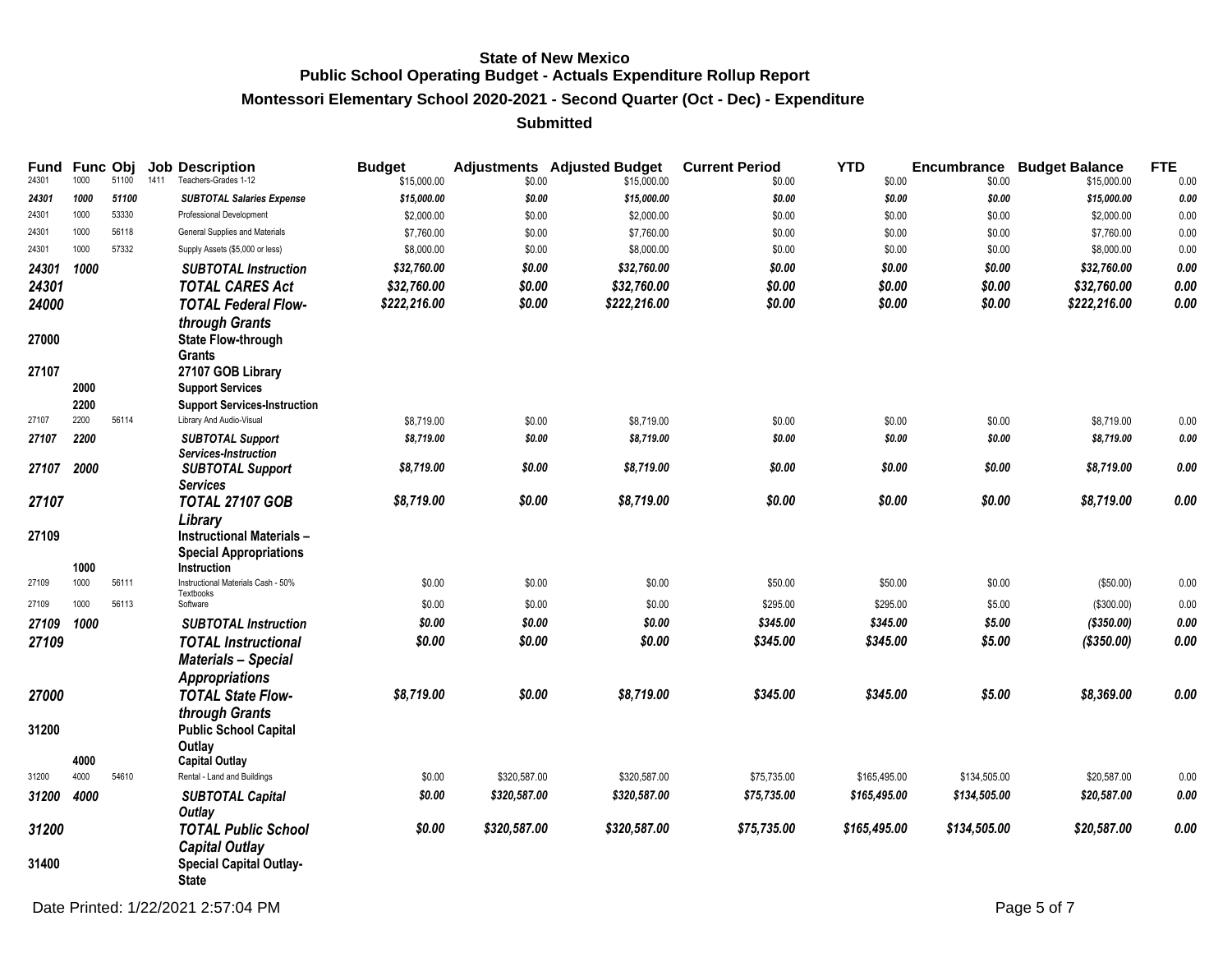# **Montessori Elementary School 2020-2021 - Second Quarter (Oct - Dec) - Expenditure**

| Fund<br>24301  | Func Obj<br>1000 | 51100 | <b>Job Description</b><br>1411<br>Teachers-Grades 1-12                                         | <b>Budget</b><br>\$15,000.00 | \$0.00       | <b>Adjustments</b> Adjusted Budget<br>\$15,000.00 | <b>Current Period</b><br>\$0.00 | <b>YTD</b><br>\$0.00 | \$0.00       | <b>Encumbrance Budget Balance</b><br>\$15,000.00 | <b>FTE</b><br>0.00 |
|----------------|------------------|-------|------------------------------------------------------------------------------------------------|------------------------------|--------------|---------------------------------------------------|---------------------------------|----------------------|--------------|--------------------------------------------------|--------------------|
| 24301          | 1000             | 51100 | <b>SUBTOTAL Salaries Expense</b>                                                               | \$15,000.00                  | \$0.00       | \$15,000.00                                       | \$0.00                          | \$0.00               | \$0.00       | \$15,000.00                                      | 0.00               |
| 24301          | 1000             | 53330 | Professional Development                                                                       | \$2,000.00                   | \$0.00       | \$2,000.00                                        | \$0.00                          | \$0.00               | \$0.00       | \$2,000.00                                       | 0.00               |
| 24301          | 1000             | 56118 | General Supplies and Materials                                                                 | \$7,760.00                   | \$0.00       | \$7,760.00                                        | \$0.00                          | \$0.00               | \$0.00       | \$7,760.00                                       | 0.00               |
| 24301          | 1000             | 57332 | Supply Assets (\$5,000 or less)                                                                | \$8,000.00                   | \$0.00       | \$8,000.00                                        | \$0.00                          | \$0.00               | \$0.00       | \$8,000.00                                       | 0.00               |
| 24301          | 1000             |       | <b>SUBTOTAL Instruction</b>                                                                    | \$32,760.00                  | \$0.00       | \$32,760.00                                       | \$0.00                          | \$0.00               | \$0.00       | \$32,760.00                                      | $0.00\,$           |
| 24301          |                  |       | <b>TOTAL CARES Act</b>                                                                         | \$32,760.00                  | \$0.00       | \$32,760.00                                       | \$0.00                          | \$0.00               | \$0.00       | \$32,760.00                                      | 0.00               |
| 24000          |                  |       | <b>TOTAL Federal Flow-</b>                                                                     | \$222,216.00                 | \$0.00       | \$222,216.00                                      | \$0.00                          | \$0.00               | \$0.00       | \$222,216.00                                     | 0.00               |
| 27000          |                  |       | through Grants<br><b>State Flow-through</b><br><b>Grants</b>                                   |                              |              |                                                   |                                 |                      |              |                                                  |                    |
| 27107          |                  |       | 27107 GOB Library                                                                              |                              |              |                                                   |                                 |                      |              |                                                  |                    |
|                | 2000             |       | <b>Support Services</b>                                                                        |                              |              |                                                   |                                 |                      |              |                                                  |                    |
|                | 2200             |       | <b>Support Services-Instruction</b>                                                            |                              |              |                                                   |                                 |                      |              |                                                  |                    |
| 27107          | 2200             | 56114 | Library And Audio-Visual                                                                       | \$8,719.00                   | \$0.00       | \$8,719.00                                        | \$0.00                          | \$0.00               | \$0.00       | \$8,719.00                                       | 0.00               |
| 27107          | 2200             |       | <b>SUBTOTAL Support</b><br>Services-Instruction                                                | \$8,719.00                   | \$0.00       | \$8,719.00                                        | \$0.00                          | \$0.00               | \$0.00       | \$8,719.00                                       | 0.00               |
| 27107          | 2000             |       | <b>SUBTOTAL Support</b><br><b>Services</b>                                                     | \$8,719.00                   | \$0.00       | \$8,719.00                                        | \$0.00                          | \$0.00               | \$0.00       | \$8,719.00                                       | $0.00\,$           |
| 27107          |                  |       | <b>TOTAL 27107 GOB</b>                                                                         | \$8,719.00                   | \$0.00       | \$8,719.00                                        | \$0.00                          | \$0.00               | \$0.00       | \$8,719.00                                       | 0.00               |
| 27109          | 1000             |       | Library<br><b>Instructional Materials -</b><br><b>Special Appropriations</b><br>Instruction    |                              |              |                                                   |                                 |                      |              |                                                  |                    |
| 27109          | 1000             | 56111 | Instructional Materials Cash - 50%                                                             | \$0.00                       | \$0.00       | \$0.00                                            | \$50.00                         | \$50.00              | \$0.00       | (\$50.00)                                        | 0.00               |
| 27109          | 1000             | 56113 | Textbooks<br>Software                                                                          | \$0.00                       | \$0.00       | \$0.00                                            | \$295.00                        | \$295.00             | \$5.00       | (\$300.00)                                       | $0.00\,$           |
| 27109          | 1000             |       | <b>SUBTOTAL Instruction</b>                                                                    | \$0.00                       | \$0.00       | \$0.00                                            | \$345.00                        | \$345.00             | \$5.00       | (\$350.00)                                       | $0.00\,$           |
| 27109          |                  |       | <b>TOTAL</b> Instructional<br><b>Materials - Special</b>                                       | \$0.00                       | \$0.00       | \$0.00                                            | \$345.00                        | \$345.00             | \$5.00       | $($ \$350.00)                                    | 0.00               |
| 27000          |                  |       | <b>Appropriations</b><br><b>TOTAL State Flow-</b><br>through Grants                            | \$8,719.00                   | \$0.00       | \$8,719.00                                        | \$345.00                        | \$345.00             | \$5.00       | \$8,369.00                                       | 0.00               |
| 31200          |                  |       | <b>Public School Capital</b><br>Outlay                                                         |                              |              |                                                   |                                 |                      |              |                                                  |                    |
|                | 4000             |       | <b>Capital Outlay</b>                                                                          |                              |              |                                                   |                                 |                      |              |                                                  |                    |
| 31200          | 4000             | 54610 | Rental - Land and Buildings                                                                    | \$0.00                       | \$320,587.00 | \$320,587.00                                      | \$75,735.00                     | \$165,495.00         | \$134,505.00 | \$20,587.00                                      | 0.00               |
| 31200          | 4000             |       | <b>SUBTOTAL Capital</b><br>Outlay                                                              | \$0.00                       | \$320,587.00 | \$320,587.00                                      | \$75,735.00                     | \$165,495.00         | \$134,505.00 | \$20,587.00                                      | $0.00\,$           |
| 31200<br>31400 |                  |       | <b>TOTAL Public School</b><br><b>Capital Outlay</b><br><b>Special Capital Outlay-</b><br>State | \$0.00                       | \$320,587.00 | \$320,587.00                                      | \$75,735.00                     | \$165,495.00         | \$134,505.00 | \$20,587.00                                      | 0.00               |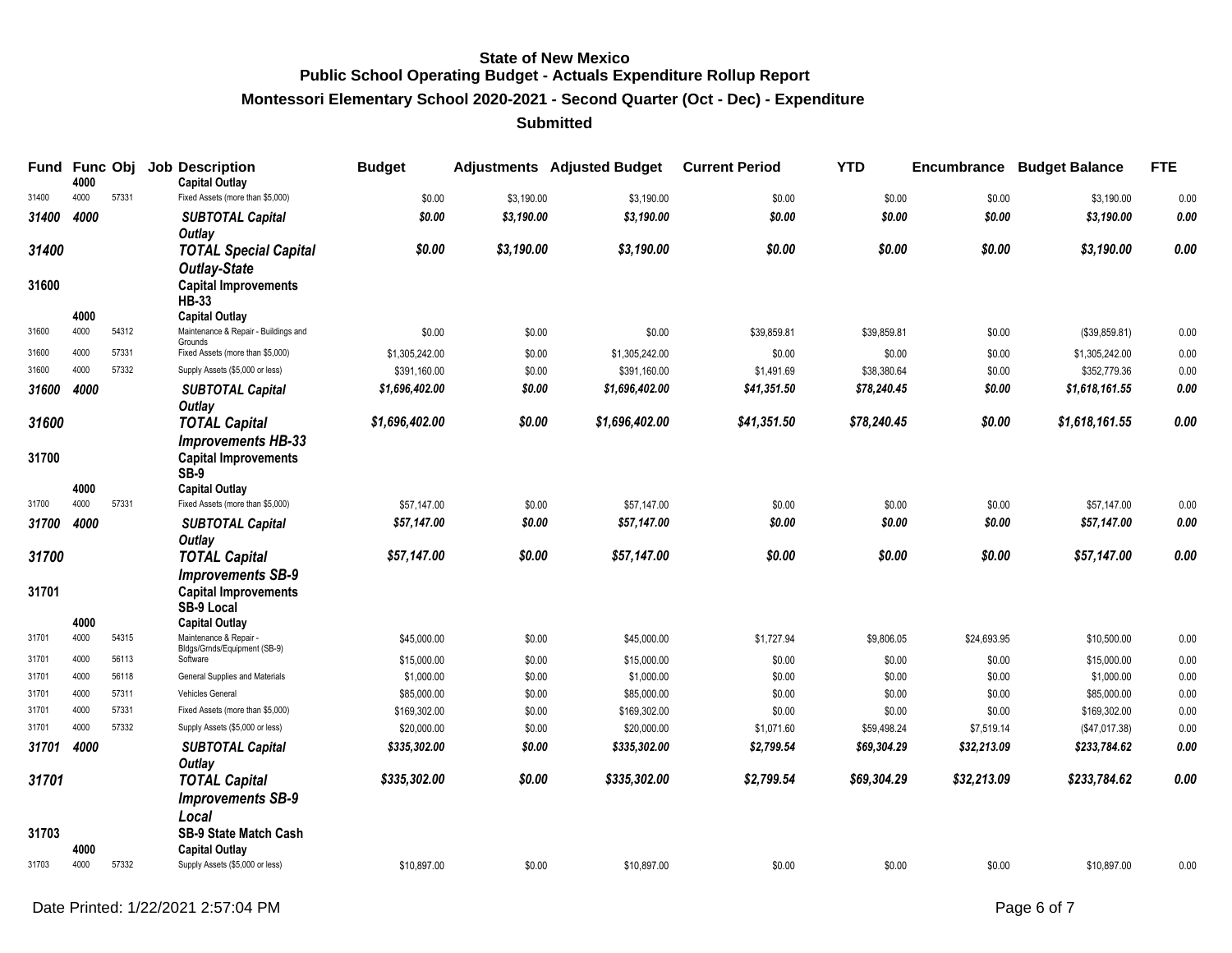**Montessori Elementary School 2020-2021 - Second Quarter (Oct - Dec) - Expenditure**

| Fund           | 4000         | <b>Func Obj</b> | <b>Job Description</b><br><b>Capital Outlay</b>                                    | <b>Budget</b>  |            | <b>Adjustments</b> Adjusted Budget | <b>Current Period</b> | <b>YTD</b>  | Encumbrance | <b>Budget Balance</b> | <b>FTE</b> |
|----------------|--------------|-----------------|------------------------------------------------------------------------------------|----------------|------------|------------------------------------|-----------------------|-------------|-------------|-----------------------|------------|
| 31400          | 4000         | 57331           | Fixed Assets (more than \$5,000)                                                   | \$0.00         | \$3,190.00 | \$3,190.00                         | \$0.00                | \$0.00      | \$0.00      | \$3,190.00            | 0.00       |
| 31400          | 4000         |                 | <b>SUBTOTAL Capital</b><br><b>Outlay</b>                                           | \$0.00         | \$3,190.00 | \$3,190.00                         | \$0.00                | \$0.00      | \$0.00      | \$3,190.00            | 0.00       |
| 31400<br>31600 |              |                 | <b>TOTAL Special Capital</b><br><b>Outlay-State</b><br><b>Capital Improvements</b> | \$0.00         | \$3,190.00 | \$3,190.00                         | \$0.00                | \$0.00      | \$0.00      | \$3,190.00            | 0.00       |
|                |              |                 | <b>HB-33</b>                                                                       |                |            |                                    |                       |             |             |                       |            |
|                | 4000         |                 | <b>Capital Outlay</b>                                                              |                |            |                                    |                       |             |             |                       |            |
| 31600          | 4000         | 54312           | Maintenance & Repair - Buildings and<br>Grounds                                    | \$0.00         | \$0.00     | \$0.00                             | \$39,859.81           | \$39,859.81 | \$0.00      | (\$39,859.81)         | 0.00       |
| 31600          | 4000         | 57331           | Fixed Assets (more than \$5,000)                                                   | \$1,305,242.00 | \$0.00     | \$1,305,242.00                     | \$0.00                | \$0.00      | \$0.00      | \$1,305,242.00        | 0.00       |
| 31600          | 4000         | 57332           | Supply Assets (\$5,000 or less)                                                    | \$391,160.00   | \$0.00     | \$391,160.00                       | \$1,491.69            | \$38,380.64 | \$0.00      | \$352,779.36          | 0.00       |
| 31600          | 4000         |                 | <b>SUBTOTAL Capital</b><br>Outlay                                                  | \$1,696,402.00 | \$0.00     | \$1,696,402.00                     | \$41,351.50           | \$78,240.45 | \$0.00      | \$1,618,161.55        | 0.00       |
| 31600          |              |                 | <b>TOTAL Capital</b>                                                               | \$1,696,402.00 | \$0.00     | \$1,696,402.00                     | \$41,351.50           | \$78,240.45 | \$0.00      | \$1,618,161.55        | 0.00       |
| 31700          |              |                 | <b>Improvements HB-33</b><br><b>Capital Improvements</b><br>SB-9                   |                |            |                                    |                       |             |             |                       |            |
| 31700          | 4000<br>4000 | 57331           | <b>Capital Outlay</b><br>Fixed Assets (more than \$5,000)                          | \$57,147.00    | \$0.00     | \$57,147.00                        | \$0.00                | \$0.00      | \$0.00      | \$57,147.00           | 0.00       |
| 31700          | 4000         |                 |                                                                                    | \$57,147.00    | \$0.00     | \$57,147.00                        | \$0.00                | \$0.00      | \$0.00      | \$57,147.00           | 0.00       |
|                |              |                 | <b>SUBTOTAL Capital</b><br><b>Outlay</b>                                           |                |            |                                    |                       |             |             |                       |            |
| 31700          |              |                 | <b>TOTAL Capital</b><br><b>Improvements SB-9</b>                                   | \$57,147.00    | \$0.00     | \$57,147.00                        | \$0.00                | \$0.00      | \$0.00      | \$57,147.00           | 0.00       |
| 31701          |              |                 | <b>Capital Improvements</b><br>SB-9 Local                                          |                |            |                                    |                       |             |             |                       |            |
| 31701          | 4000<br>4000 | 54315           | <b>Capital Outlay</b><br>Maintenance & Repair -                                    | \$45,000.00    | \$0.00     | \$45,000.00                        | \$1,727.94            | \$9,806.05  | \$24,693.95 | \$10,500.00           | 0.00       |
| 31701          | 4000         | 56113           | Bldgs/Grnds/Equipment (SB-9)<br>Software                                           | \$15,000.00    | \$0.00     | \$15,000.00                        | \$0.00                | \$0.00      | \$0.00      | \$15,000.00           | 0.00       |
| 31701          | 4000         | 56118           | General Supplies and Materials                                                     | \$1,000.00     | \$0.00     | \$1,000.00                         | \$0.00                | \$0.00      | \$0.00      | \$1,000.00            | 0.00       |
| 31701          | 4000         | 57311           | Vehicles General                                                                   | \$85,000.00    | \$0.00     | \$85,000.00                        | \$0.00                | \$0.00      | \$0.00      | \$85,000.00           | 0.00       |
| 31701          | 4000         | 57331           | Fixed Assets (more than \$5,000)                                                   | \$169,302.00   | \$0.00     | \$169,302.00                       | \$0.00                | \$0.00      | \$0.00      | \$169,302.00          | 0.00       |
| 31701          | 4000         | 57332           | Supply Assets (\$5,000 or less)                                                    | \$20,000.00    | \$0.00     | \$20,000.00                        | \$1,071.60            | \$59,498.24 | \$7,519.14  | (\$47,017.38)         | 0.00       |
| 31701          | 4000         |                 | <b>SUBTOTAL Capital</b><br>Outlay                                                  | \$335,302.00   | \$0.00     | \$335,302.00                       | \$2,799.54            | \$69,304.29 | \$32,213.09 | \$233,784.62          | 0.00       |
| 31701          |              |                 | <b>TOTAL Capital</b><br><b>Improvements SB-9</b><br>Local                          | \$335,302.00   | \$0.00     | \$335,302.00                       | \$2,799.54            | \$69,304.29 | \$32,213.09 | \$233,784.62          | 0.00       |
| 31703          | 4000         |                 | SB-9 State Match Cash<br><b>Capital Outlay</b>                                     |                |            |                                    |                       |             |             |                       |            |
| 31703          | 4000         | 57332           | Supply Assets (\$5,000 or less)                                                    | \$10,897.00    | \$0.00     | \$10,897.00                        | \$0.00                | \$0.00      | \$0.00      | \$10,897.00           | 0.00       |